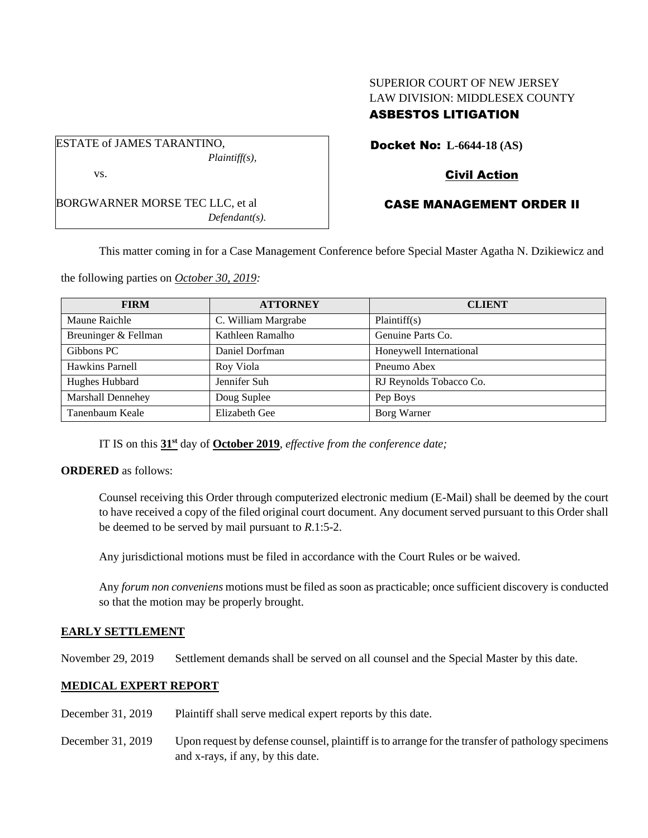# SUPERIOR COURT OF NEW JERSEY LAW DIVISION: MIDDLESEX COUNTY ASBESTOS LITIGATION

ESTATE of JAMES TARANTINO, *Plaintiff(s),* vs.

BORGWARNER MORSE TEC LLC, et al *Defendant(s).* Docket No: **L-6644-18 (AS)**

# Civil Action

# CASE MANAGEMENT ORDER II

This matter coming in for a Case Management Conference before Special Master Agatha N. Dzikiewicz and

the following parties on *October 30, 2019:*

| <b>FIRM</b>              | <b>ATTORNEY</b>     | <b>CLIENT</b>           |  |
|--------------------------|---------------------|-------------------------|--|
| Maune Raichle            | C. William Margrabe | Plaintiff(s)            |  |
| Breuninger & Fellman     | Kathleen Ramalho    | Genuine Parts Co.       |  |
| Gibbons PC               | Daniel Dorfman      | Honeywell International |  |
| Hawkins Parnell          | Roy Viola           | Pneumo Abex             |  |
| Hughes Hubbard           | Jennifer Suh        | RJ Reynolds Tobacco Co. |  |
| <b>Marshall Dennehey</b> | Doug Suplee         | Pep Boys                |  |
| Tanenbaum Keale          | Elizabeth Gee       | Borg Warner             |  |

IT IS on this **31st** day of **October 2019**, *effective from the conference date;*

**ORDERED** as follows:

Counsel receiving this Order through computerized electronic medium (E-Mail) shall be deemed by the court to have received a copy of the filed original court document. Any document served pursuant to this Order shall be deemed to be served by mail pursuant to *R*.1:5-2.

Any jurisdictional motions must be filed in accordance with the Court Rules or be waived.

Any *forum non conveniens* motions must be filed as soon as practicable; once sufficient discovery is conducted so that the motion may be properly brought.

### **EARLY SETTLEMENT**

November 29, 2019 Settlement demands shall be served on all counsel and the Special Master by this date.

### **MEDICAL EXPERT REPORT**

- December 31, 2019 Plaintiff shall serve medical expert reports by this date.
- December 31, 2019 Upon request by defense counsel, plaintiff is to arrange for the transfer of pathology specimens and x-rays, if any, by this date.